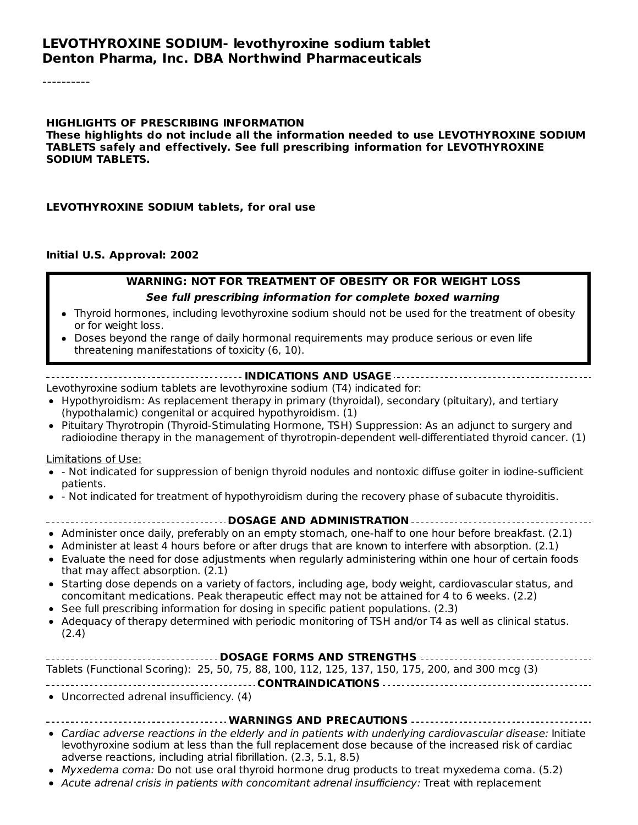#### **LEVOTHYROXINE SODIUM- levothyroxine sodium tablet Denton Pharma, Inc. DBA Northwind Pharmaceuticals**

----------

#### **HIGHLIGHTS OF PRESCRIBING INFORMATION**

**These highlights do not include all the information needed to use LEVOTHYROXINE SODIUM TABLETS safely and effectively. See full prescribing information for LEVOTHYROXINE SODIUM TABLETS.**

#### **LEVOTHYROXINE SODIUM tablets, for oral use**

#### **Initial U.S. Approval: 2002**

# **WARNING: NOT FOR TREATMENT OF OBESITY OR FOR WEIGHT LOSS**

#### **See full prescribing information for complete boxed warning**

- Thyroid hormones, including levothyroxine sodium should not be used for the treatment of obesity or for weight loss.
- Doses beyond the range of daily hormonal requirements may produce serious or even life threatening manifestations of toxicity (6, 10).

#### **INDICATIONS AND USAGE**

Levothyroxine sodium tablets are levothyroxine sodium (T4) indicated for:

- Hypothyroidism: As replacement therapy in primary (thyroidal), secondary (pituitary), and tertiary (hypothalamic) congenital or acquired hypothyroidism. (1)
- Pituitary Thyrotropin (Thyroid-Stimulating Hormone, TSH) Suppression: As an adjunct to surgery and radioiodine therapy in the management of thyrotropin-dependent well-differentiated thyroid cancer. (1)

#### Limitations of Use:

- Not indicated for suppression of benign thyroid nodules and nontoxic diffuse goiter in iodine-sufficient patients.
- Not indicated for treatment of hypothyroidism during the recovery phase of subacute thyroiditis.

#### **DOSAGE AND ADMINISTRATION**

- Administer once daily, preferably on an empty stomach, one-half to one hour before breakfast. (2.1)
- Administer at least 4 hours before or after drugs that are known to interfere with absorption. (2.1)
- Evaluate the need for dose adjustments when regularly administering within one hour of certain foods that may affect absorption. (2.1)
- Starting dose depends on a variety of factors, including age, body weight, cardiovascular status, and concomitant medications. Peak therapeutic effect may not be attained for 4 to 6 weeks. (2.2)
- See full prescribing information for dosing in specific patient populations. (2.3)
- Adequacy of therapy determined with periodic monitoring of TSH and/or T4 as well as clinical status. (2.4)

| Tablets (Functional Scoring): 25, 50, 75, 88, 100, 112, 125, 137, 150, 175, 200, and 300 mcg (3) |  |  |  |  |  |  |  |  |
|--------------------------------------------------------------------------------------------------|--|--|--|--|--|--|--|--|
|                                                                                                  |  |  |  |  |  |  |  |  |

- **CONTRAINDICATIONS**
- Uncorrected adrenal insufficiency. (4)

#### **WARNINGS AND PRECAUTIONS**

- Cardiac adverse reactions in the elderly and in patients with underlying cardiovascular disease: Initiate levothyroxine sodium at less than the full replacement dose because of the increased risk of cardiac adverse reactions, including atrial fibrillation. (2.3, 5.1, 8.5)
- Myxedema coma: Do not use oral thyroid hormone drug products to treat myxedema coma. (5.2)
- Acute adrenal crisis in patients with concomitant adrenal insufficiency: Treat with replacement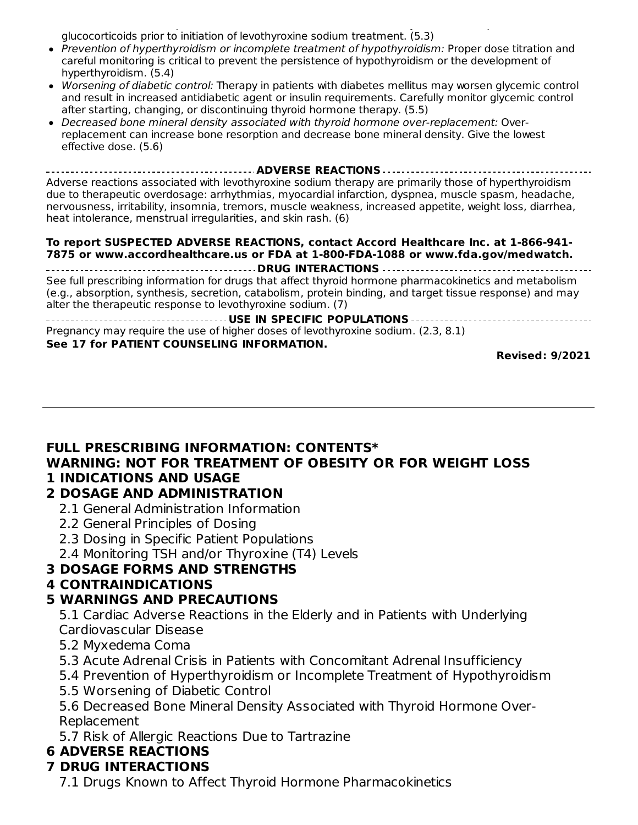Acute adrenal crisis in patients with concomitant adrenal insufficiency: Treat with replacement glucocorticoids prior to initiation of levothyroxine sodium treatment. (5.3)

- Prevention of hyperthyroidism or incomplete treatment of hypothyroidism: Proper dose titration and careful monitoring is critical to prevent the persistence of hypothyroidism or the development of hyperthyroidism. (5.4)
- Worsening of diabetic control: Therapy in patients with diabetes mellitus may worsen glycemic control and result in increased antidiabetic agent or insulin requirements. Carefully monitor glycemic control after starting, changing, or discontinuing thyroid hormone therapy. (5.5)
- Decreased bone mineral density associated with thyroid hormone over-replacement: Overreplacement can increase bone resorption and decrease bone mineral density. Give the lowest effective dose. (5.6)

**ADVERSE REACTIONS** Adverse reactions associated with levothyroxine sodium therapy are primarily those of hyperthyroidism due to therapeutic overdosage: arrhythmias, myocardial infarction, dyspnea, muscle spasm, headache, nervousness, irritability, insomnia, tremors, muscle weakness, increased appetite, weight loss, diarrhea, heat intolerance, menstrual irregularities, and skin rash. (6)

#### **To report SUSPECTED ADVERSE REACTIONS, contact Accord Healthcare Inc. at 1-866-941- 7875 or www.accordhealthcare.us or FDA at 1-800-FDA-1088 or www.fda.gov/medwatch.**

**DRUG INTERACTIONS** See full prescribing information for drugs that affect thyroid hormone pharmacokinetics and metabolism (e.g., absorption, synthesis, secretion, catabolism, protein binding, and target tissue response) and may alter the therapeutic response to levothyroxine sodium. (7)

**USE IN SPECIFIC POPULATIONS** Pregnancy may require the use of higher doses of levothyroxine sodium. (2.3, 8.1) **See 17 for PATIENT COUNSELING INFORMATION.**

**Revised: 9/2021**

### **FULL PRESCRIBING INFORMATION: CONTENTS\* WARNING: NOT FOR TREATMENT OF OBESITY OR FOR WEIGHT LOSS 1 INDICATIONS AND USAGE**

### **2 DOSAGE AND ADMINISTRATION**

- 2.1 General Administration Information
- 2.2 General Principles of Dosing
- 2.3 Dosing in Specific Patient Populations
- 2.4 Monitoring TSH and/or Thyroxine (T4) Levels

### **3 DOSAGE FORMS AND STRENGTHS**

### **4 CONTRAINDICATIONS**

### **5 WARNINGS AND PRECAUTIONS**

5.1 Cardiac Adverse Reactions in the Elderly and in Patients with Underlying Cardiovascular Disease

- 5.2 Myxedema Coma
- 5.3 Acute Adrenal Crisis in Patients with Concomitant Adrenal Insufficiency
- 5.4 Prevention of Hyperthyroidism or Incomplete Treatment of Hypothyroidism
- 5.5 Worsening of Diabetic Control

5.6 Decreased Bone Mineral Density Associated with Thyroid Hormone Over-Replacement

5.7 Risk of Allergic Reactions Due to Tartrazine

### **6 ADVERSE REACTIONS**

# **7 DRUG INTERACTIONS**

7.1 Drugs Known to Affect Thyroid Hormone Pharmacokinetics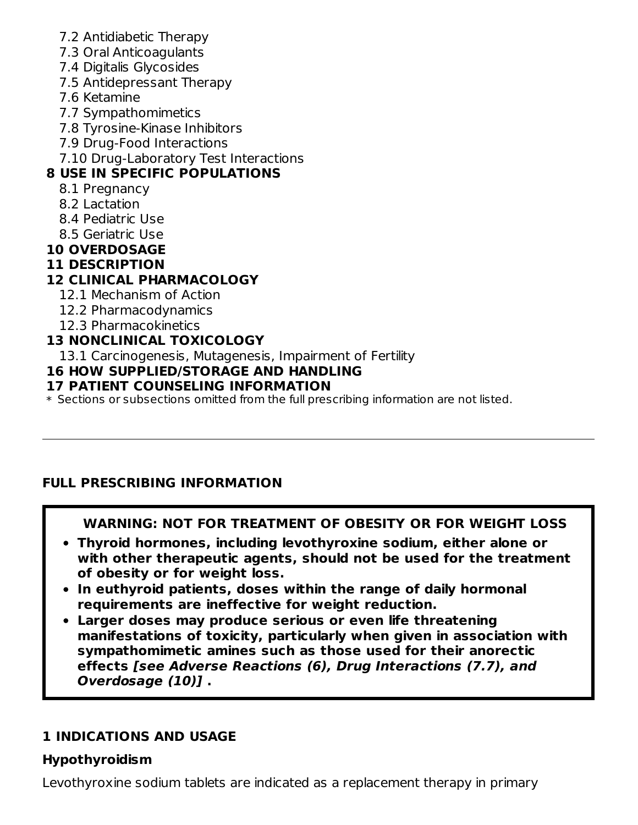- 7.2 Antidiabetic Therapy
- 7.3 Oral Anticoagulants
- 7.4 Digitalis Glycosides
- 7.5 Antidepressant Therapy
- 7.6 Ketamine
- 7.7 Sympathomimetics
- 7.8 Tyrosine-Kinase Inhibitors
- 7.9 Drug-Food Interactions
- 7.10 Drug-Laboratory Test Interactions

# **8 USE IN SPECIFIC POPULATIONS**

- 8.1 Pregnancy
- 8.2 Lactation
- 8.4 Pediatric Use
- 8.5 Geriatric Use
- **10 OVERDOSAGE**

# **11 DESCRIPTION**

# **12 CLINICAL PHARMACOLOGY**

- 12.1 Mechanism of Action
- 12.2 Pharmacodynamics
- 12.3 Pharmacokinetics

# **13 NONCLINICAL TOXICOLOGY**

13.1 Carcinogenesis, Mutagenesis, Impairment of Fertility

# **16 HOW SUPPLIED/STORAGE AND HANDLING**

## **17 PATIENT COUNSELING INFORMATION**

 $\ast$  Sections or subsections omitted from the full prescribing information are not listed.

# **FULL PRESCRIBING INFORMATION**

# **WARNING: NOT FOR TREATMENT OF OBESITY OR FOR WEIGHT LOSS**

- **Thyroid hormones, including levothyroxine sodium, either alone or with other therapeutic agents, should not be used for the treatment of obesity or for weight loss.**
- **In euthyroid patients, doses within the range of daily hormonal requirements are ineffective for weight reduction.**
- **Larger doses may produce serious or even life threatening manifestations of toxicity, particularly when given in association with sympathomimetic amines such as those used for their anorectic effects [see Adverse Reactions (6), Drug Interactions (7.7), and Overdosage (10)] .**

# **1 INDICATIONS AND USAGE**

# **Hypothyroidism**

Levothyroxine sodium tablets are indicated as a replacement therapy in primary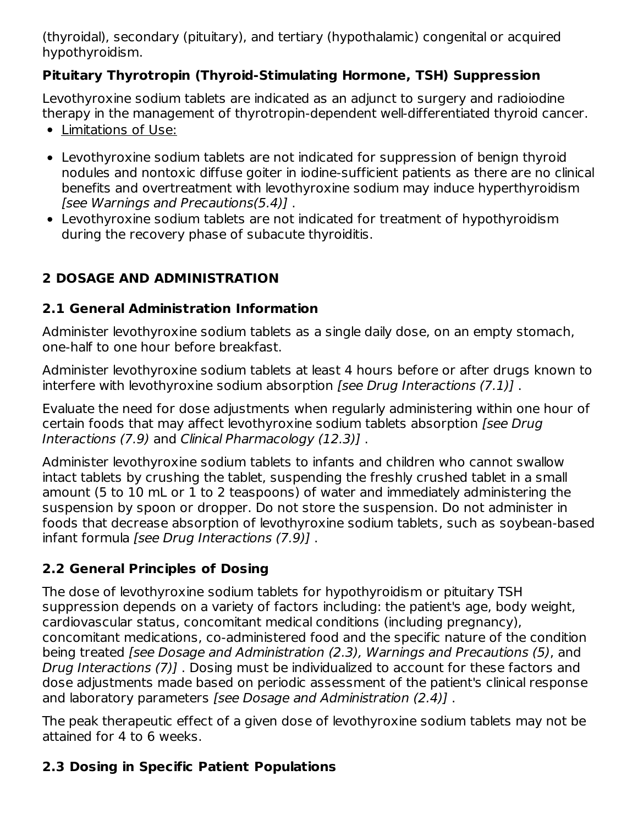(thyroidal), secondary (pituitary), and tertiary (hypothalamic) congenital or acquired hypothyroidism.

## **Pituitary Thyrotropin (Thyroid‑Stimulating Hormone, TSH) Suppression**

Levothyroxine sodium tablets are indicated as an adjunct to surgery and radioiodine therapy in the management of thyrotropin-dependent well-differentiated thyroid cancer.

- Limitations of Use:
- Levothyroxine sodium tablets are not indicated for suppression of benign thyroid nodules and nontoxic diffuse goiter in iodine-sufficient patients as there are no clinical benefits and overtreatment with levothyroxine sodium may induce hyperthyroidism [see Warnings and Precautions(5.4)] .
- Levothyroxine sodium tablets are not indicated for treatment of hypothyroidism during the recovery phase of subacute thyroiditis.

# **2 DOSAGE AND ADMINISTRATION**

## **2.1 General Administration Information**

Administer levothyroxine sodium tablets as a single daily dose, on an empty stomach, one-half to one hour before breakfast.

Administer levothyroxine sodium tablets at least 4 hours before or after drugs known to interfere with levothyroxine sodium absorption [see Drug Interactions (7.1)].

Evaluate the need for dose adjustments when regularly administering within one hour of certain foods that may affect levothyroxine sodium tablets absorption [see Drug Interactions (7.9) and Clinical Pharmacology (12.3)] .

Administer levothyroxine sodium tablets to infants and children who cannot swallow intact tablets by crushing the tablet, suspending the freshly crushed tablet in a small amount (5 to 10 mL or 1 to 2 teaspoons) of water and immediately administering the suspension by spoon or dropper. Do not store the suspension. Do not administer in foods that decrease absorption of levothyroxine sodium tablets, such as soybean-based infant formula [see Drug Interactions (7.9)] .

# **2.2 General Principles of Dosing**

The dose of levothyroxine sodium tablets for hypothyroidism or pituitary TSH suppression depends on a variety of factors including: the patient's age, body weight, cardiovascular status, concomitant medical conditions (including pregnancy), concomitant medications, co-administered food and the specific nature of the condition being treated [see Dosage and Administration (2.3), Warnings and Precautions (5), and Drug Interactions (7)] . Dosing must be individualized to account for these factors and dose adjustments made based on periodic assessment of the patient's clinical response and laboratory parameters [see Dosage and Administration (2.4)] .

The peak therapeutic effect of a given dose of levothyroxine sodium tablets may not be attained for 4 to 6 weeks.

# **2.3 Dosing in Specific Patient Populations**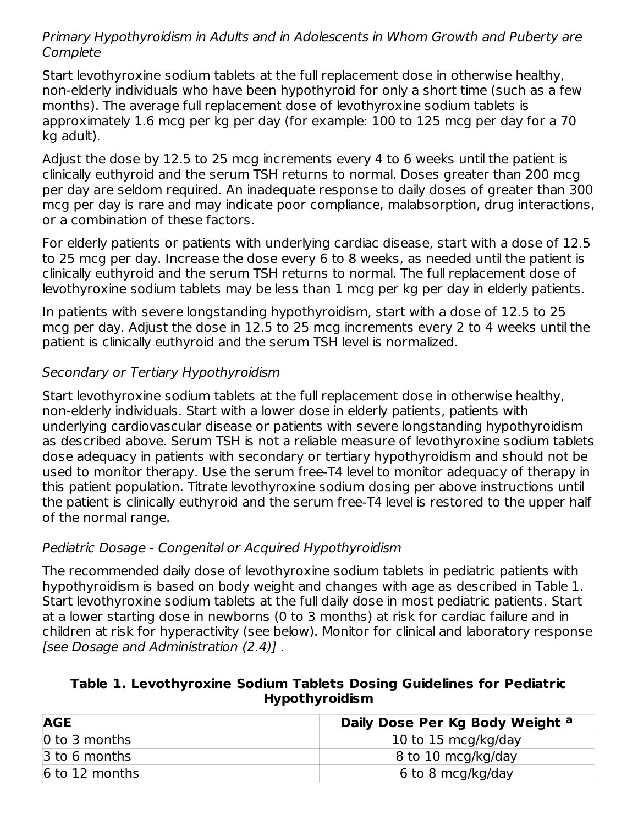### Primary Hypothyroidism in Adults and in Adolescents in Whom Growth and Puberty are **Complete**

Start levothyroxine sodium tablets at the full replacement dose in otherwise healthy, non-elderly individuals who have been hypothyroid for only a short time (such as a few months). The average full replacement dose of levothyroxine sodium tablets is approximately 1.6 mcg per kg per day (for example: 100 to 125 mcg per day for a 70 kg adult).

Adjust the dose by 12.5 to 25 mcg increments every 4 to 6 weeks until the patient is clinically euthyroid and the serum TSH returns to normal. Doses greater than 200 mcg per day are seldom required. An inadequate response to daily doses of greater than 300 mcg per day is rare and may indicate poor compliance, malabsorption, drug interactions, or a combination of these factors.

For elderly patients or patients with underlying cardiac disease, start with a dose of 12.5 to 25 mcg per day. Increase the dose every 6 to 8 weeks, as needed until the patient is clinically euthyroid and the serum TSH returns to normal. The full replacement dose of levothyroxine sodium tablets may be less than 1 mcg per kg per day in elderly patients.

In patients with severe longstanding hypothyroidism, start with a dose of 12.5 to 25 mcg per day. Adjust the dose in 12.5 to 25 mcg increments every 2 to 4 weeks until the patient is clinically euthyroid and the serum TSH level is normalized.

## Secondary or Tertiary Hypothyroidism

Start levothyroxine sodium tablets at the full replacement dose in otherwise healthy, non-elderly individuals. Start with a lower dose in elderly patients, patients with underlying cardiovascular disease or patients with severe longstanding hypothyroidism as described above. Serum TSH is not a reliable measure of levothyroxine sodium tablets dose adequacy in patients with secondary or tertiary hypothyroidism and should not be used to monitor therapy. Use the serum free-T4 level to monitor adequacy of therapy in this patient population. Titrate levothyroxine sodium dosing per above instructions until the patient is clinically euthyroid and the serum free-T4 level is restored to the upper half of the normal range.

### Pediatric Dosage - Congenital or Acquired Hypothyroidism

The recommended daily dose of levothyroxine sodium tablets in pediatric patients with hypothyroidism is based on body weight and changes with age as described in Table 1. Start levothyroxine sodium tablets at the full daily dose in most pediatric patients. Start at a lower starting dose in newborns (0 to 3 months) at risk for cardiac failure and in children at risk for hyperactivity (see below). Monitor for clinical and laboratory response [see Dosage and Administration (2.4)] .

### **Table 1. Levothyroxine Sodium Tablets Dosing Guidelines for Pediatric Hypothyroidism**

| <b>AGE</b>       | Daily Dose Per Kg Body Weight a |
|------------------|---------------------------------|
| 0 to 3 months    | 10 to 15 mcg/kg/day             |
| 3 to 6 months    | 8 to 10 mcg/kg/day              |
| $6$ to 12 months | 6 to 8 mcg/kg/day               |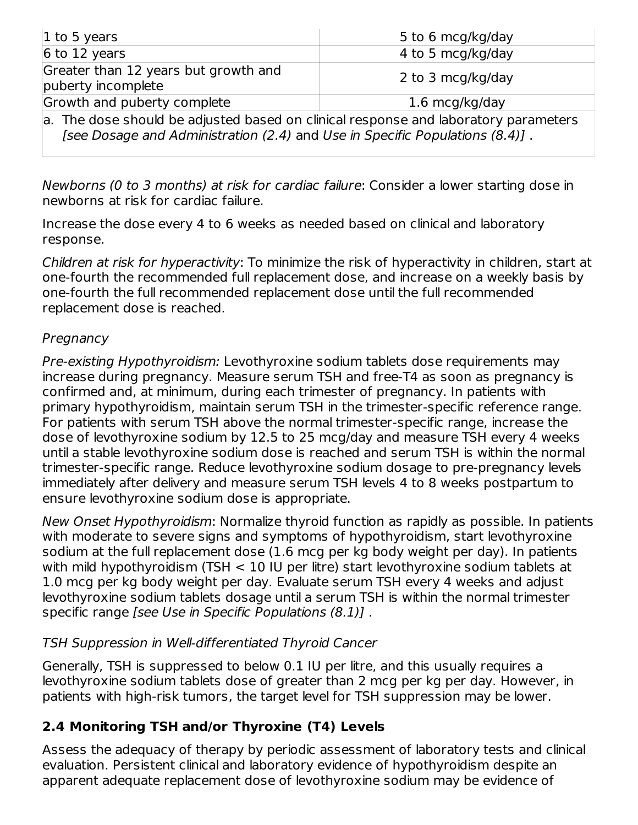| 1 to 5 years                                                                                                                                                        | 5 to 6 mcg/kg/day |  |
|---------------------------------------------------------------------------------------------------------------------------------------------------------------------|-------------------|--|
| $6$ to 12 years                                                                                                                                                     | 4 to 5 mcg/kg/day |  |
| Greater than 12 years but growth and<br>puberty incomplete                                                                                                          | 2 to 3 mcg/kg/day |  |
| Growth and puberty complete                                                                                                                                         | 1.6 mcg/kg/day    |  |
| a. The dose should be adjusted based on clinical response and laboratory parameters<br>[see Dosage and Administration (2.4) and Use in Specific Populations (8.4)]. |                   |  |

Newborns (0 to 3 months) at risk for cardiac failure: Consider a lower starting dose in newborns at risk for cardiac failure.

Increase the dose every 4 to 6 weeks as needed based on clinical and laboratory response.

Children at risk for hyperactivity: To minimize the risk of hyperactivity in children, start at one-fourth the recommended full replacement dose, and increase on a weekly basis by one-fourth the full recommended replacement dose until the full recommended replacement dose is reached.

### **Pregnancy**

Pre-existing Hypothyroidism: Levothyroxine sodium tablets dose requirements may increase during pregnancy. Measure serum TSH and free-T4 as soon as pregnancy is confirmed and, at minimum, during each trimester of pregnancy. In patients with primary hypothyroidism, maintain serum TSH in the trimester-specific reference range. For patients with serum TSH above the normal trimester-specific range, increase the dose of levothyroxine sodium by 12.5 to 25 mcg/day and measure TSH every 4 weeks until a stable levothyroxine sodium dose is reached and serum TSH is within the normal trimester-specific range. Reduce levothyroxine sodium dosage to pre-pregnancy levels immediately after delivery and measure serum TSH levels 4 to 8 weeks postpartum to ensure levothyroxine sodium dose is appropriate.

New Onset Hypothyroidism: Normalize thyroid function as rapidly as possible. In patients with moderate to severe signs and symptoms of hypothyroidism, start levothyroxine sodium at the full replacement dose (1.6 mcg per kg body weight per day). In patients with mild hypothyroidism (TSH < 10 IU per litre) start levothyroxine sodium tablets at 1.0 mcg per kg body weight per day. Evaluate serum TSH every 4 weeks and adjust levothyroxine sodium tablets dosage until a serum TSH is within the normal trimester specific range [see Use in Specific Populations (8.1)] .

### TSH Suppression in Well-differentiated Thyroid Cancer

Generally, TSH is suppressed to below 0.1 IU per litre, and this usually requires a levothyroxine sodium tablets dose of greater than 2 mcg per kg per day. However, in patients with high-risk tumors, the target level for TSH suppression may be lower.

# **2.4 Monitoring TSH and/or Thyroxine (T4) Levels**

Assess the adequacy of therapy by periodic assessment of laboratory tests and clinical evaluation. Persistent clinical and laboratory evidence of hypothyroidism despite an apparent adequate replacement dose of levothyroxine sodium may be evidence of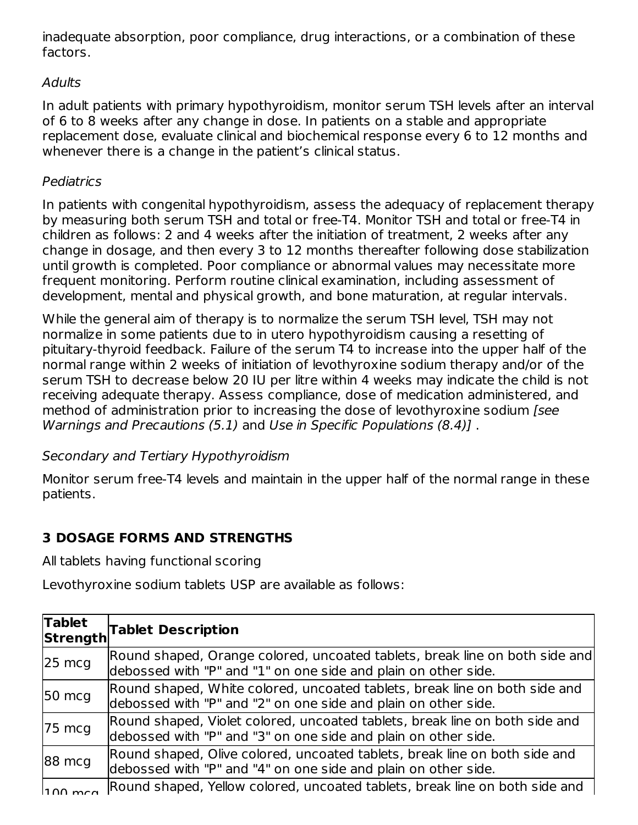inadequate absorption, poor compliance, drug interactions, or a combination of these factors.

### Adults

In adult patients with primary hypothyroidism, monitor serum TSH levels after an interval of 6 to 8 weeks after any change in dose. In patients on a stable and appropriate replacement dose, evaluate clinical and biochemical response every 6 to 12 months and whenever there is a change in the patient's clinical status.

### Pediatrics

In patients with congenital hypothyroidism, assess the adequacy of replacement therapy by measuring both serum TSH and total or free-T4. Monitor TSH and total or free-T4 in children as follows: 2 and 4 weeks after the initiation of treatment, 2 weeks after any change in dosage, and then every 3 to 12 months thereafter following dose stabilization until growth is completed. Poor compliance or abnormal values may necessitate more frequent monitoring. Perform routine clinical examination, including assessment of development, mental and physical growth, and bone maturation, at regular intervals.

While the general aim of therapy is to normalize the serum TSH level, TSH may not normalize in some patients due to in utero hypothyroidism causing a resetting of pituitary-thyroid feedback. Failure of the serum T4 to increase into the upper half of the normal range within 2 weeks of initiation of levothyroxine sodium therapy and/or of the serum TSH to decrease below 20 IU per litre within 4 weeks may indicate the child is not receiving adequate therapy. Assess compliance, dose of medication administered, and method of administration prior to increasing the dose of levothyroxine sodium [see Warnings and Precautions (5.1) and Use in Specific Populations (8.4)] .

### Secondary and Tertiary Hypothyroidism

Monitor serum free-T4 levels and maintain in the upper half of the normal range in these patients.

# **3 DOSAGE FORMS AND STRENGTHS**

All tablets having functional scoring

Levothyroxine sodium tablets USP are available as follows:

| <b>Tablet</b>     | <b>Strength</b> Tablet Description                                                                                                            |
|-------------------|-----------------------------------------------------------------------------------------------------------------------------------------------|
| $25 \text{ mcg}$  | Round shaped, Orange colored, uncoated tablets, break line on both side and<br>debossed with "P" and "1" on one side and plain on other side. |
| $50 \text{ mcg}$  | Round shaped, White colored, uncoated tablets, break line on both side and<br>debossed with "P" and "2" on one side and plain on other side.  |
| $75 \text{ mcg}$  | Round shaped, Violet colored, uncoated tablets, break line on both side and<br>debossed with "P" and "3" on one side and plain on other side. |
| 88 mcg            | Round shaped, Olive colored, uncoated tablets, break line on both side and<br>debossed with "P" and "4" on one side and plain on other side.  |
| $\ln 0 \text{ m}$ | Round shaped, Yellow colored, uncoated tablets, break line on both side and                                                                   |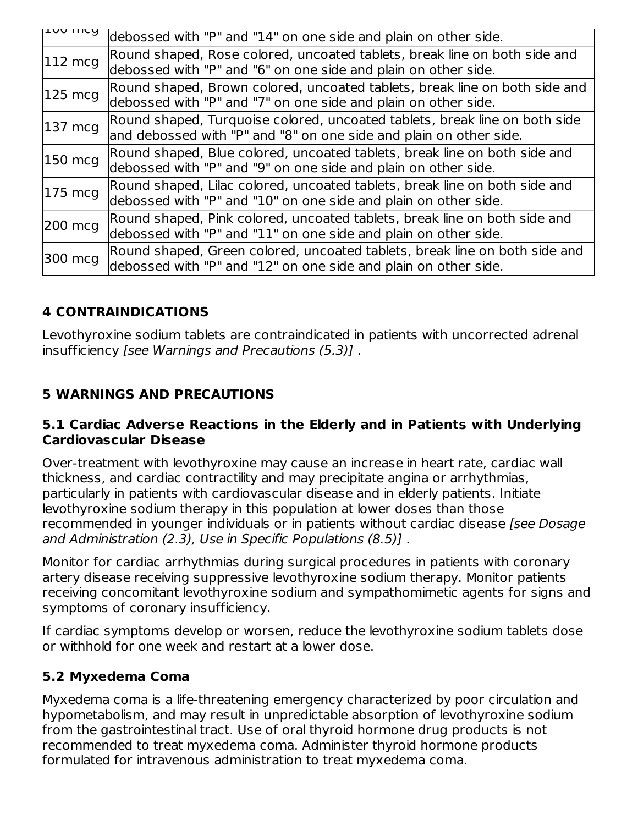| ודחת ווורח          | debossed with "P" and "14" on one side and plain on other side.                                                                                  |
|---------------------|--------------------------------------------------------------------------------------------------------------------------------------------------|
| $ 112 \text{ mcg} $ | Round shaped, Rose colored, uncoated tablets, break line on both side and<br>debossed with "P" and "6" on one side and plain on other side.      |
| $125 \text{ mcg}$   | Round shaped, Brown colored, uncoated tablets, break line on both side and<br>debossed with "P" and "7" on one side and plain on other side.     |
| 137 mcg             | Round shaped, Turquoise colored, uncoated tablets, break line on both side<br>and debossed with "P" and "8" on one side and plain on other side. |
| 150 mcg             | Round shaped, Blue colored, uncoated tablets, break line on both side and<br>debossed with "P" and "9" on one side and plain on other side.      |
| $ 175 \text{ mcg} $ | Round shaped, Lilac colored, uncoated tablets, break line on both side and<br>debossed with "P" and "10" on one side and plain on other side.    |
| 200 mcg             | Round shaped, Pink colored, uncoated tablets, break line on both side and<br>debossed with "P" and "11" on one side and plain on other side.     |
| 300 mcg             | Round shaped, Green colored, uncoated tablets, break line on both side and<br>debossed with "P" and "12" on one side and plain on other side.    |

## **4 CONTRAINDICATIONS**

Levothyroxine sodium tablets are contraindicated in patients with uncorrected adrenal insufficiency [see Warnings and Precautions (5.3)] .

## **5 WARNINGS AND PRECAUTIONS**

### **5.1 Cardiac Adverse Reactions in the Elderly and in Patients with Underlying Cardiovascular Disease**

Over-treatment with levothyroxine may cause an increase in heart rate, cardiac wall thickness, and cardiac contractility and may precipitate angina or arrhythmias, particularly in patients with cardiovascular disease and in elderly patients. Initiate levothyroxine sodium therapy in this population at lower doses than those recommended in younger individuals or in patients without cardiac disease [see Dosage and Administration (2.3), Use in Specific Populations (8.5)] .

Monitor for cardiac arrhythmias during surgical procedures in patients with coronary artery disease receiving suppressive levothyroxine sodium therapy. Monitor patients receiving concomitant levothyroxine sodium and sympathomimetic agents for signs and symptoms of coronary insufficiency.

If cardiac symptoms develop or worsen, reduce the levothyroxine sodium tablets dose or withhold for one week and restart at a lower dose.

### **5.2 Myxedema Coma**

Myxedema coma is a life-threatening emergency characterized by poor circulation and hypometabolism, and may result in unpredictable absorption of levothyroxine sodium from the gastrointestinal tract. Use of oral thyroid hormone drug products is not recommended to treat myxedema coma. Administer thyroid hormone products formulated for intravenous administration to treat myxedema coma.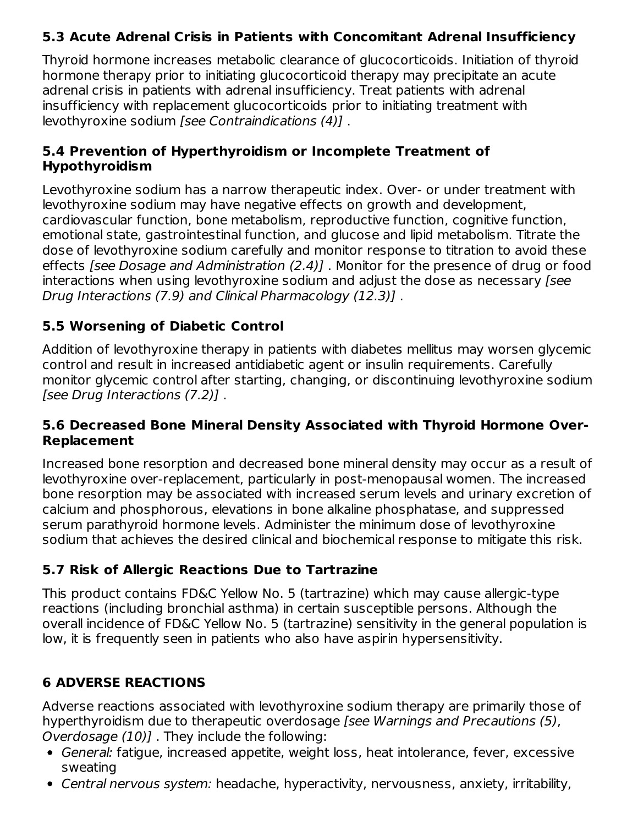# **5.3 Acute Adrenal Crisis in Patients with Concomitant Adrenal Insufficiency**

Thyroid hormone increases metabolic clearance of glucocorticoids. Initiation of thyroid hormone therapy prior to initiating glucocorticoid therapy may precipitate an acute adrenal crisis in patients with adrenal insufficiency. Treat patients with adrenal insufficiency with replacement glucocorticoids prior to initiating treatment with levothyroxine sodium [see Contraindications (4)] .

### **5.4 Prevention of Hyperthyroidism or Incomplete Treatment of Hypothyroidism**

Levothyroxine sodium has a narrow therapeutic index. Over- or under treatment with levothyroxine sodium may have negative effects on growth and development, cardiovascular function, bone metabolism, reproductive function, cognitive function, emotional state, gastrointestinal function, and glucose and lipid metabolism. Titrate the dose of levothyroxine sodium carefully and monitor response to titration to avoid these effects [see Dosage and Administration (2.4)] . Monitor for the presence of drug or food interactions when using levothyroxine sodium and adjust the dose as necessary [see Drug Interactions (7.9) and Clinical Pharmacology (12.3)] .

## **5.5 Worsening of Diabetic Control**

Addition of levothyroxine therapy in patients with diabetes mellitus may worsen glycemic control and result in increased antidiabetic agent or insulin requirements. Carefully monitor glycemic control after starting, changing, or discontinuing levothyroxine sodium [see Drug Interactions (7.2)] .

### **5.6 Decreased Bone Mineral Density Associated with Thyroid Hormone Over-Replacement**

Increased bone resorption and decreased bone mineral density may occur as a result of levothyroxine over-replacement, particularly in post-menopausal women. The increased bone resorption may be associated with increased serum levels and urinary excretion of calcium and phosphorous, elevations in bone alkaline phosphatase, and suppressed serum parathyroid hormone levels. Administer the minimum dose of levothyroxine sodium that achieves the desired clinical and biochemical response to mitigate this risk.

# **5.7 Risk of Allergic Reactions Due to Tartrazine**

This product contains FD&C Yellow No. 5 (tartrazine) which may cause allergic-type reactions (including bronchial asthma) in certain susceptible persons. Although the overall incidence of FD&C Yellow No. 5 (tartrazine) sensitivity in the general population is low, it is frequently seen in patients who also have aspirin hypersensitivity.

# **6 ADVERSE REACTIONS**

Adverse reactions associated with levothyroxine sodium therapy are primarily those of hyperthyroidism due to therapeutic overdosage [see Warnings and Precautions (5), Overdosage (10)] . They include the following:

- General: fatigue, increased appetite, weight loss, heat intolerance, fever, excessive sweating
- Central nervous system: headache, hyperactivity, nervousness, anxiety, irritability,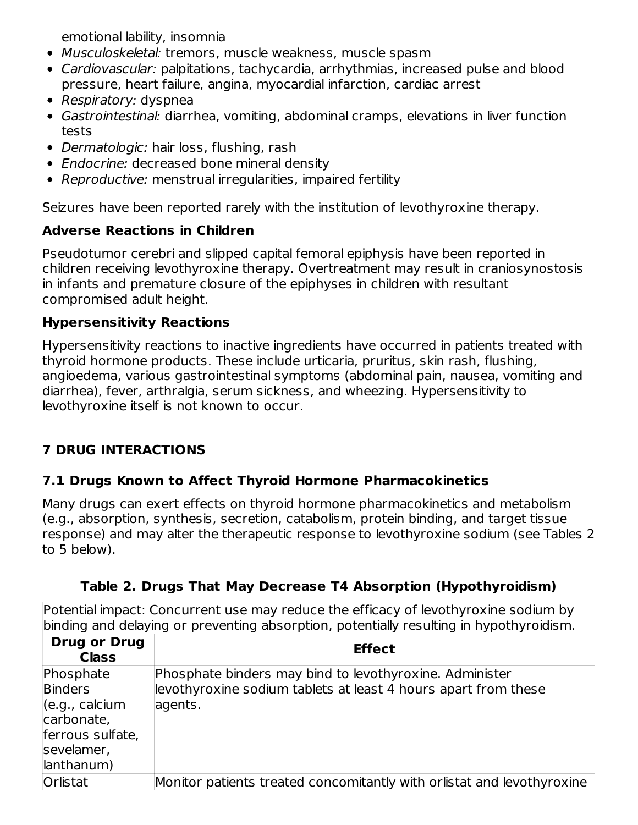emotional lability, insomnia

- Musculoskeletal: tremors, muscle weakness, muscle spasm
- Cardiovascular: palpitations, tachycardia, arrhythmias, increased pulse and blood pressure, heart failure, angina, myocardial infarction, cardiac arrest
- Respiratory: dyspnea
- Gastrointestinal: diarrhea, vomiting, abdominal cramps, elevations in liver function tests
- Dermatologic: hair loss, flushing, rash
- Endocrine: decreased bone mineral density
- Reproductive: menstrual irregularities, impaired fertility

Seizures have been reported rarely with the institution of levothyroxine therapy.

# **Adverse Reactions in Children**

Pseudotumor cerebri and slipped capital femoral epiphysis have been reported in children receiving levothyroxine therapy. Overtreatment may result in craniosynostosis in infants and premature closure of the epiphyses in children with resultant compromised adult height.

# **Hypersensitivity Reactions**

Hypersensitivity reactions to inactive ingredients have occurred in patients treated with thyroid hormone products. These include urticaria, pruritus, skin rash, flushing, angioedema, various gastrointestinal symptoms (abdominal pain, nausea, vomiting and diarrhea), fever, arthralgia, serum sickness, and wheezing. Hypersensitivity to levothyroxine itself is not known to occur.

# **7 DRUG INTERACTIONS**

# **7.1 Drugs Known to Affect Thyroid Hormone Pharmacokinetics**

Many drugs can exert effects on thyroid hormone pharmacokinetics and metabolism (e.g., absorption, synthesis, secretion, catabolism, protein binding, and target tissue response) and may alter the therapeutic response to levothyroxine sodium (see Tables 2 to 5 below).

| Table 2. Drugs That May Decrease T4 Absorption (Hypothyroidism) |  |
|-----------------------------------------------------------------|--|
|                                                                 |  |

Potential impact: Concurrent use may reduce the efficacy of levothyroxine sodium by binding and delaying or preventing absorption, potentially resulting in hypothyroidism.

| <b>Drug or Drug</b><br><b>Class</b>                                                                                                 | <b>Effect</b>                                                                                                                        |
|-------------------------------------------------------------------------------------------------------------------------------------|--------------------------------------------------------------------------------------------------------------------------------------|
| Phosphate<br><b>Binders</b><br>$\left( e.g., \text{ calcium} \right)$<br>carbonate,<br>ferrous sulfate,<br>sevelamer,<br>lanthanum) | Phosphate binders may bind to levothyroxine. Administer<br>levothyroxine sodium tablets at least 4 hours apart from these<br>agents. |
| Orlistat                                                                                                                            | Monitor patients treated concomitantly with orlistat and levothyroxine                                                               |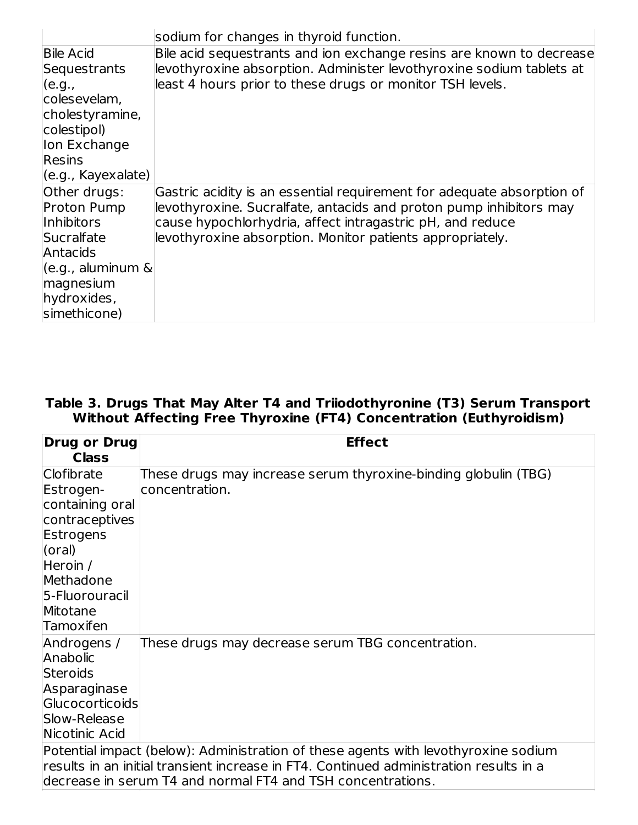|                        | sodium for changes in thyroid function.                                |
|------------------------|------------------------------------------------------------------------|
| <b>Bile Acid</b>       | Bile acid sequestrants and ion exchange resins are known to decrease   |
| Sequestrants           | levothyroxine absorption. Administer levothyroxine sodium tablets at   |
| (e.g.,                 | least 4 hours prior to these drugs or monitor TSH levels.              |
| colesevelam,           |                                                                        |
| cholestyramine,        |                                                                        |
| colestipol)            |                                                                        |
| lon Exchange           |                                                                        |
| <b>Resins</b>          |                                                                        |
| (e.g., Kayexalate)     |                                                                        |
| Other drugs:           | Gastric acidity is an essential requirement for adequate absorption of |
| <b>Proton Pump</b>     | levothyroxine. Sucralfate, antacids and proton pump inhibitors may     |
| <b>Inhibitors</b>      | cause hypochlorhydria, affect intragastric pH, and reduce              |
| Sucralfate             | levothyroxine absorption. Monitor patients appropriately.              |
| Antacids               |                                                                        |
| $(e.g.,$ aluminum $\&$ |                                                                        |
| magnesium              |                                                                        |
| hydroxides,            |                                                                        |
| simethicone)           |                                                                        |

#### **Table 3. Drugs That May Alter T4 and Triiodothyronine (T3) Serum Transport Without Affecting Free Thyroxine (FT4) Concentration (Euthyroidism)**

| <b>Drug or Drug</b><br><b>Class</b>                                                                          | <b>Effect</b>                                                                                                                                                                                                                                |
|--------------------------------------------------------------------------------------------------------------|----------------------------------------------------------------------------------------------------------------------------------------------------------------------------------------------------------------------------------------------|
| Clofibrate<br>Estrogen-<br>containing oral<br>contraceptives<br>Estrogens<br>(oral)<br>Heroin /<br>Methadone | These drugs may increase serum thyroxine-binding globulin (TBG)<br>concentration.                                                                                                                                                            |
| 5-Fluorouracil<br>Mitotane<br>Tamoxifen                                                                      |                                                                                                                                                                                                                                              |
| Androgens /<br>Anabolic<br>Steroids<br>Asparaginase<br>Glucocorticoids<br>Slow-Release<br>Nicotinic Acid     | These drugs may decrease serum TBG concentration.                                                                                                                                                                                            |
|                                                                                                              | Potential impact (below): Administration of these agents with levothyroxine sodium<br> results in an initial transient increase in FT4. Continued administration results in a<br>decrease in serum T4 and normal FT4 and TSH concentrations. |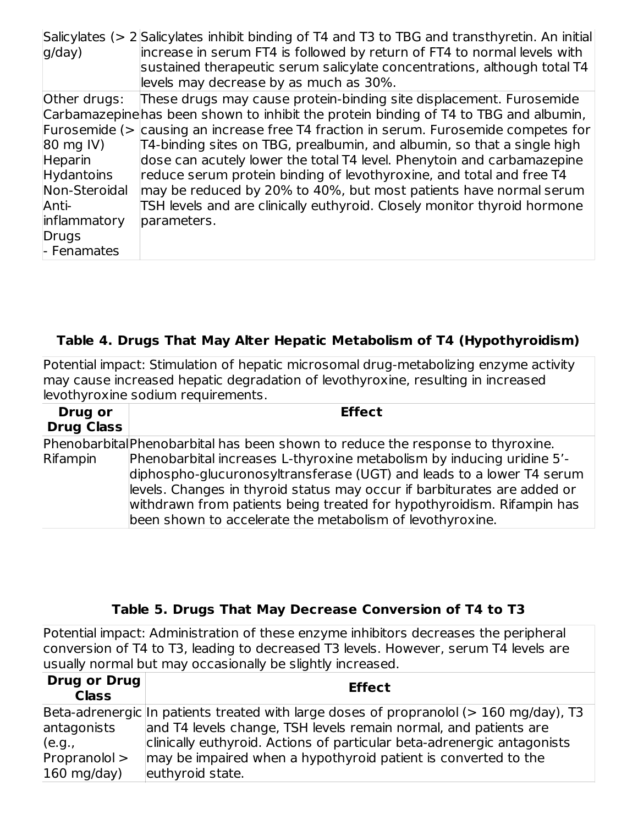| g/day)                       | Salicylates ( $>$ 2 Salicylates inhibit binding of T4 and T3 to TBG and transthyretin. An initial<br>increase in serum FT4 is followed by return of FT4 to normal levels with<br>sustained therapeutic serum salicylate concentrations, although total T4<br>levels may decrease by as much as 30%. |
|------------------------------|-----------------------------------------------------------------------------------------------------------------------------------------------------------------------------------------------------------------------------------------------------------------------------------------------------|
| Other drugs:                 | These drugs may cause protein-binding site displacement. Furosemide<br>Carbamazepine has been shown to inhibit the protein binding of T4 to TBG and albumin,                                                                                                                                        |
|                              | Furosemide ( $>$ causing an increase free T4 fraction in serum. Furosemide competes for                                                                                                                                                                                                             |
| 80 mg IV)                    | T4-binding sites on TBG, prealbumin, and albumin, so that a single high                                                                                                                                                                                                                             |
| Heparin<br><b>Hydantoins</b> | dose can acutely lower the total T4 level. Phenytoin and carbamazepine<br>reduce serum protein binding of levothyroxine, and total and free T4                                                                                                                                                      |
| Non-Steroidal                | may be reduced by 20% to 40%, but most patients have normal serum                                                                                                                                                                                                                                   |
| Anti-                        | TSH levels and are clinically euthyroid. Closely monitor thyroid hormone                                                                                                                                                                                                                            |
| inflammatory                 | parameters.                                                                                                                                                                                                                                                                                         |
| Drugs                        |                                                                                                                                                                                                                                                                                                     |
| - Fenamates                  |                                                                                                                                                                                                                                                                                                     |

### **Table 4. Drugs That May Alter Hepatic Metabolism of T4 (Hypothyroidism)**

Potential impact: Stimulation of hepatic microsomal drug-metabolizing enzyme activity may cause increased hepatic degradation of levothyroxine, resulting in increased levothyroxine sodium requirements.

| Drug or<br><b>Drug Class</b> | <b>Effect</b>                                                                                                                                                                                                                                                                                                                                                      |
|------------------------------|--------------------------------------------------------------------------------------------------------------------------------------------------------------------------------------------------------------------------------------------------------------------------------------------------------------------------------------------------------------------|
|                              | Phenobarbital Phenobarbital has been shown to reduce the response to thyroxine.                                                                                                                                                                                                                                                                                    |
| Rifampin                     | Phenobarbital increases L-thyroxine metabolism by inducing uridine 5'-<br>diphospho-glucuronosyltransferase (UGT) and leads to a lower T4 serum<br>levels. Changes in thyroid status may occur if barbiturates are added or<br>withdrawn from patients being treated for hypothyroidism. Rifampin has<br>been shown to accelerate the metabolism of levothyroxine. |

### **Table 5. Drugs That May Decrease Conversion of T4 to T3**

Potential impact: Administration of these enzyme inhibitors decreases the peripheral conversion of T4 to T3, leading to decreased T3 levels. However, serum T4 levels are usually normal but may occasionally be slightly increased.

| <b>Drug or Drug</b><br><b>Class</b> | <b>Effect</b>                                                                          |
|-------------------------------------|----------------------------------------------------------------------------------------|
|                                     | Beta-adrenergic In patients treated with large doses of propranolol (> 160 mg/day), T3 |
| antagonists                         | and T4 levels change, TSH levels remain normal, and patients are                       |
| (e.g.,                              | clinically euthyroid. Actions of particular beta-adrenergic antagonists                |
| Propranolol >                       | may be impaired when a hypothyroid patient is converted to the                         |
| $160$ mg/day)                       | euthyroid state.                                                                       |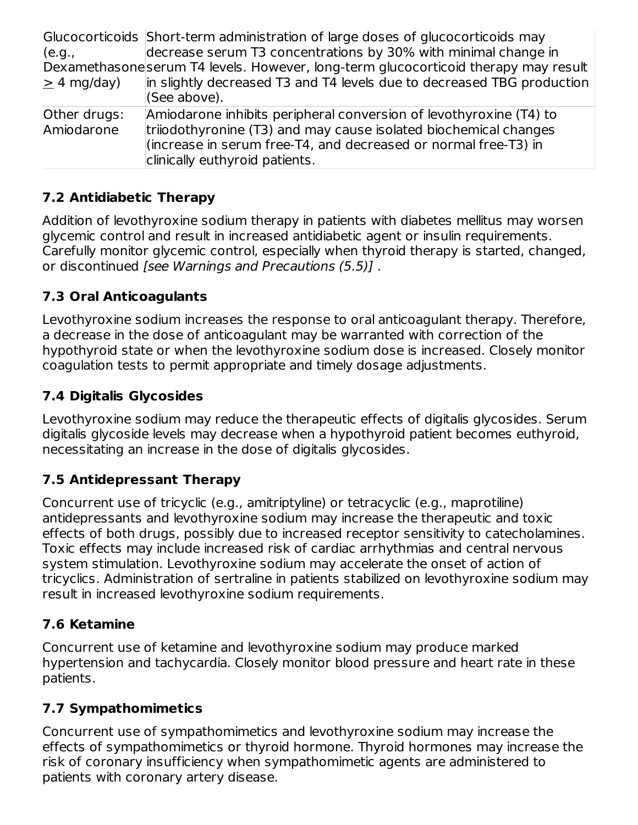Glucocorticoids Short-term administration of large doses of glucocorticoids may (e.g., Dexamethasone serum T4 levels. However, long-term glucocorticoid therapy may result  $\geq$  4 mg/day) decrease serum T3 concentrations by 30% with minimal change in in slightly decreased T3 and T4 levels due to decreased TBG production (See above). Other drugs: Amiodarone Amiodarone inhibits peripheral conversion of levothyroxine (T4) to triiodothyronine (T3) and may cause isolated biochemical changes (increase in serum free-T4, and decreased or normal free-T3) in clinically euthyroid patients.

# **7.2 Antidiabetic Therapy**

Addition of levothyroxine sodium therapy in patients with diabetes mellitus may worsen glycemic control and result in increased antidiabetic agent or insulin requirements. Carefully monitor glycemic control, especially when thyroid therapy is started, changed, or discontinued [see Warnings and Precautions (5.5)] .

# **7.3 Oral Anticoagulants**

Levothyroxine sodium increases the response to oral anticoagulant therapy. Therefore, a decrease in the dose of anticoagulant may be warranted with correction of the hypothyroid state or when the levothyroxine sodium dose is increased. Closely monitor coagulation tests to permit appropriate and timely dosage adjustments.

# **7.4 Digitalis Glycosides**

Levothyroxine sodium may reduce the therapeutic effects of digitalis glycosides. Serum digitalis glycoside levels may decrease when a hypothyroid patient becomes euthyroid, necessitating an increase in the dose of digitalis glycosides.

# **7.5 Antidepressant Therapy**

Concurrent use of tricyclic (e.g., amitriptyline) or tetracyclic (e.g., maprotiline) antidepressants and levothyroxine sodium may increase the therapeutic and toxic effects of both drugs, possibly due to increased receptor sensitivity to catecholamines. Toxic effects may include increased risk of cardiac arrhythmias and central nervous system stimulation. Levothyroxine sodium may accelerate the onset of action of tricyclics. Administration of sertraline in patients stabilized on levothyroxine sodium may result in increased levothyroxine sodium requirements.

# **7.6 Ketamine**

Concurrent use of ketamine and levothyroxine sodium may produce marked hypertension and tachycardia. Closely monitor blood pressure and heart rate in these patients.

# **7.7 Sympathomimetics**

Concurrent use of sympathomimetics and levothyroxine sodium may increase the effects of sympathomimetics or thyroid hormone. Thyroid hormones may increase the risk of coronary insufficiency when sympathomimetic agents are administered to patients with coronary artery disease.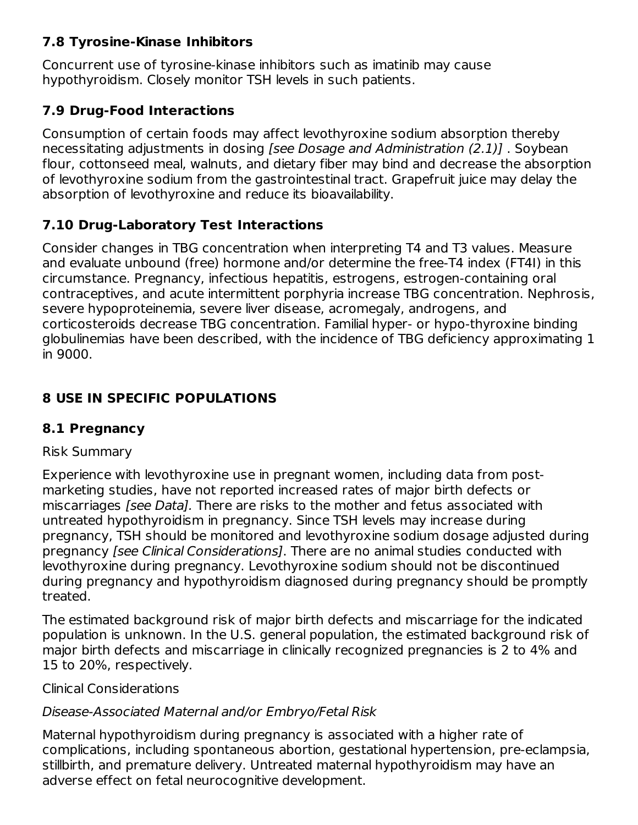### **7.8 Tyrosine-Kinase Inhibitors**

Concurrent use of tyrosine-kinase inhibitors such as imatinib may cause hypothyroidism. Closely monitor TSH levels in such patients.

# **7.9 Drug-Food Interactions**

Consumption of certain foods may affect levothyroxine sodium absorption thereby necessitating adjustments in dosing [see Dosage and Administration (2.1)] . Soybean flour, cottonseed meal, walnuts, and dietary fiber may bind and decrease the absorption of levothyroxine sodium from the gastrointestinal tract. Grapefruit juice may delay the absorption of levothyroxine and reduce its bioavailability.

# **7.10 Drug-Laboratory Test Interactions**

Consider changes in TBG concentration when interpreting T4 and T3 values. Measure and evaluate unbound (free) hormone and/or determine the free-T4 index (FT4I) in this circumstance. Pregnancy, infectious hepatitis, estrogens, estrogen-containing oral contraceptives, and acute intermittent porphyria increase TBG concentration. Nephrosis, severe hypoproteinemia, severe liver disease, acromegaly, androgens, and corticosteroids decrease TBG concentration. Familial hyper- or hypo-thyroxine binding globulinemias have been described, with the incidence of TBG deficiency approximating 1 in 9000.

# **8 USE IN SPECIFIC POPULATIONS**

# **8.1 Pregnancy**

### Risk Summary

Experience with levothyroxine use in pregnant women, including data from postmarketing studies, have not reported increased rates of major birth defects or miscarriages *[see Data]*. There are risks to the mother and fetus associated with untreated hypothyroidism in pregnancy. Since TSH levels may increase during pregnancy, TSH should be monitored and levothyroxine sodium dosage adjusted during pregnancy [see Clinical Considerations]. There are no animal studies conducted with levothyroxine during pregnancy. Levothyroxine sodium should not be discontinued during pregnancy and hypothyroidism diagnosed during pregnancy should be promptly treated.

The estimated background risk of major birth defects and miscarriage for the indicated population is unknown. In the U.S. general population, the estimated background risk of major birth defects and miscarriage in clinically recognized pregnancies is 2 to 4% and 15 to 20%, respectively.

Clinical Considerations

# Disease-Associated Maternal and/or Embryo/Fetal Risk

Maternal hypothyroidism during pregnancy is associated with a higher rate of complications, including spontaneous abortion, gestational hypertension, pre‑eclampsia, stillbirth, and premature delivery. Untreated maternal hypothyroidism may have an adverse effect on fetal neurocognitive development.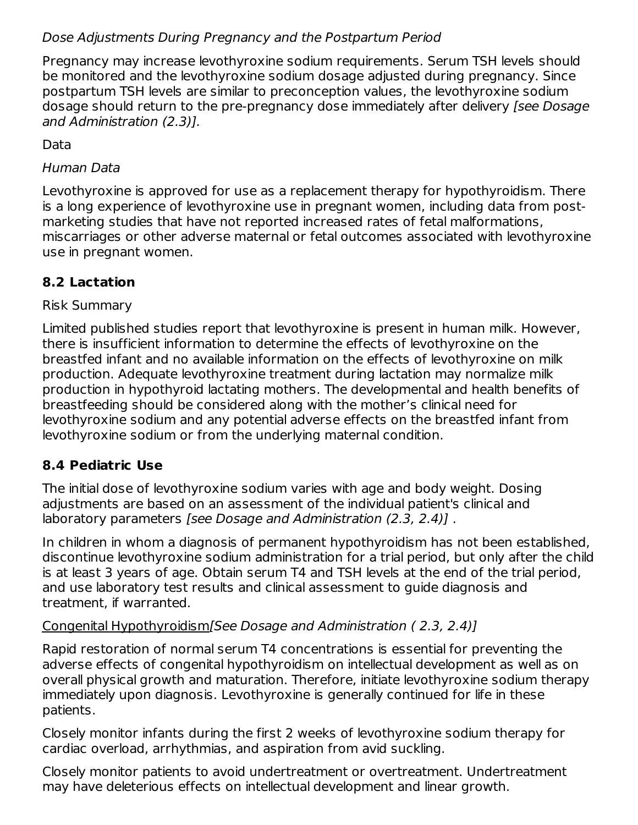### Dose Adjustments During Pregnancy and the Postpartum Period

Pregnancy may increase levothyroxine sodium requirements. Serum TSH levels should be monitored and the levothyroxine sodium dosage adjusted during pregnancy. Since postpartum TSH levels are similar to preconception values, the levothyroxine sodium dosage should return to the pre-pregnancy dose immediately after delivery (see Dosage and Administration (2.3)].

Data

### Human Data

Levothyroxine is approved for use as a replacement therapy for hypothyroidism. There is a long experience of levothyroxine use in pregnant women, including data from postmarketing studies that have not reported increased rates of fetal malformations, miscarriages or other adverse maternal or fetal outcomes associated with levothyroxine use in pregnant women.

### **8.2 Lactation**

### Risk Summary

Limited published studies report that levothyroxine is present in human milk. However, there is insufficient information to determine the effects of levothyroxine on the breastfed infant and no available information on the effects of levothyroxine on milk production. Adequate levothyroxine treatment during lactation may normalize milk production in hypothyroid lactating mothers. The developmental and health benefits of breastfeeding should be considered along with the mother's clinical need for levothyroxine sodium and any potential adverse effects on the breastfed infant from levothyroxine sodium or from the underlying maternal condition.

### **8.4 Pediatric Use**

The initial dose of levothyroxine sodium varies with age and body weight. Dosing adjustments are based on an assessment of the individual patient's clinical and laboratory parameters [see Dosage and Administration (2.3, 2.4)] .

In children in whom a diagnosis of permanent hypothyroidism has not been established, discontinue levothyroxine sodium administration for a trial period, but only after the child is at least 3 years of age. Obtain serum T4 and TSH levels at the end of the trial period, and use laboratory test results and clinical assessment to guide diagnosis and treatment, if warranted.

### Congenital Hypothyroidism[See Dosage and Administration ( 2.3, 2.4)]

Rapid restoration of normal serum T4 concentrations is essential for preventing the adverse effects of congenital hypothyroidism on intellectual development as well as on overall physical growth and maturation. Therefore, initiate levothyroxine sodium therapy immediately upon diagnosis. Levothyroxine is generally continued for life in these patients.

Closely monitor infants during the first 2 weeks of levothyroxine sodium therapy for cardiac overload, arrhythmias, and aspiration from avid suckling.

Closely monitor patients to avoid undertreatment or overtreatment. Undertreatment may have deleterious effects on intellectual development and linear growth.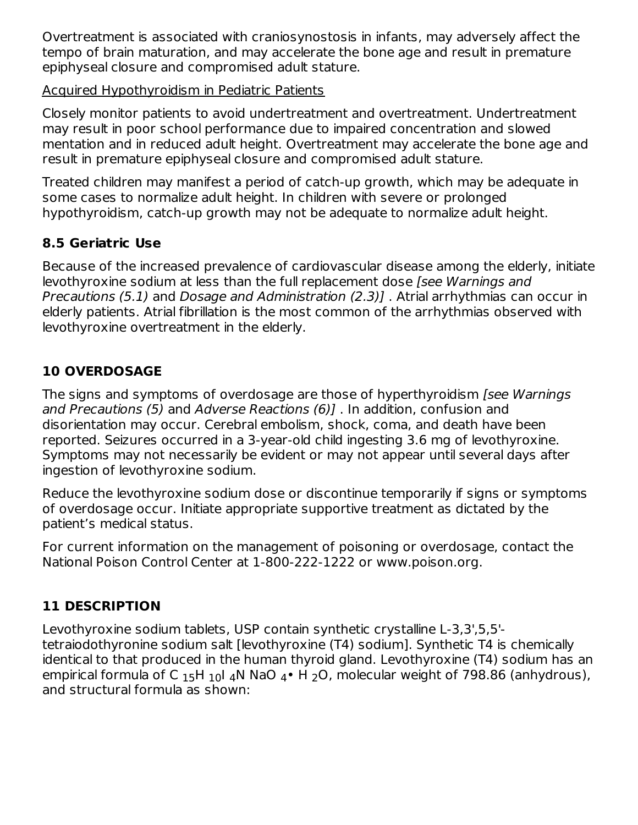Overtreatment is associated with craniosynostosis in infants, may adversely affect the tempo of brain maturation, and may accelerate the bone age and result in premature epiphyseal closure and compromised adult stature.

### Acquired Hypothyroidism in Pediatric Patients

Closely monitor patients to avoid undertreatment and overtreatment. Undertreatment may result in poor school performance due to impaired concentration and slowed mentation and in reduced adult height. Overtreatment may accelerate the bone age and result in premature epiphyseal closure and compromised adult stature.

Treated children may manifest a period of catch-up growth, which may be adequate in some cases to normalize adult height. In children with severe or prolonged hypothyroidism, catch-up growth may not be adequate to normalize adult height.

# **8.5 Geriatric Use**

Because of the increased prevalence of cardiovascular disease among the elderly, initiate levothyroxine sodium at less than the full replacement dose *[see Warnings and* Precautions (5.1) and Dosage and Administration (2.3)] . Atrial arrhythmias can occur in elderly patients. Atrial fibrillation is the most common of the arrhythmias observed with levothyroxine overtreatment in the elderly.

# **10 OVERDOSAGE**

The signs and symptoms of overdosage are those of hyperthyroidism [see Warnings and Precautions (5) and Adverse Reactions (6)] . In addition, confusion and disorientation may occur. Cerebral embolism, shock, coma, and death have been reported. Seizures occurred in a 3-year-old child ingesting 3.6 mg of levothyroxine. Symptoms may not necessarily be evident or may not appear until several days after ingestion of levothyroxine sodium.

Reduce the levothyroxine sodium dose or discontinue temporarily if signs or symptoms of overdosage occur. Initiate appropriate supportive treatment as dictated by the patient's medical status.

For current information on the management of poisoning or overdosage, contact the National Poison Control Center at 1-800-222-1222 or www.poison.org.

# **11 DESCRIPTION**

Levothyroxine sodium tablets, USP contain synthetic crystalline L-3,3',5,5' tetraiodothyronine sodium salt [levothyroxine (T4) sodium]. Synthetic T4 is chemically identical to that produced in the human thyroid gland. Levothyroxine (T4) sodium has an empirical formula of C  $_{15}$ H  $_{10}$ I  $_{4}$ N NaO  $_{4} \cdot$  H  $_{2}$ O, molecular weight of 798.86 (anhydrous), and structural formula as shown: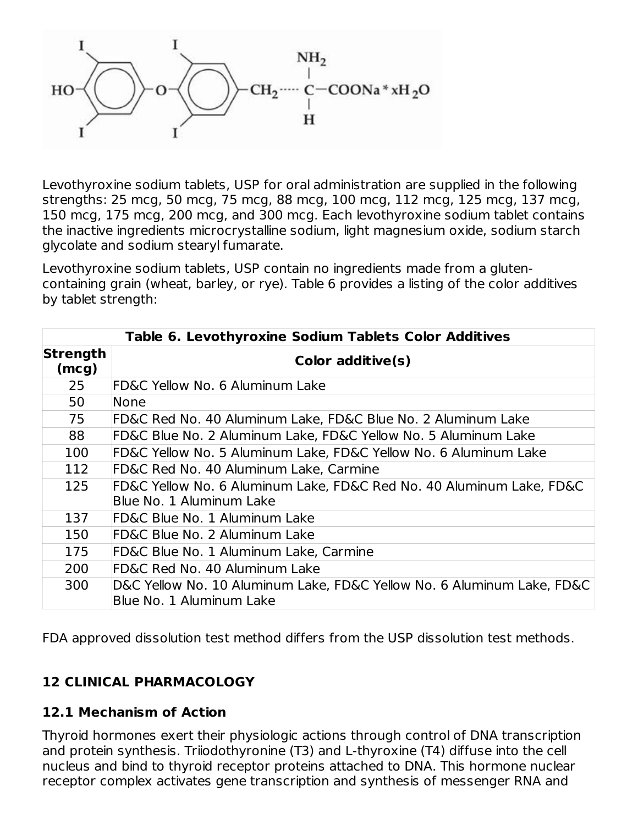

Levothyroxine sodium tablets, USP for oral administration are supplied in the following strengths: 25 mcg, 50 mcg, 75 mcg, 88 mcg, 100 mcg, 112 mcg, 125 mcg, 137 mcg, 150 mcg, 175 mcg, 200 mcg, and 300 mcg. Each levothyroxine sodium tablet contains the inactive ingredients microcrystalline sodium, light magnesium oxide, sodium starch glycolate and sodium stearyl fumarate.

Levothyroxine sodium tablets, USP contain no ingredients made from a glutencontaining grain (wheat, barley, or rye). Table 6 provides a listing of the color additives by tablet strength:

| <b>Table 6. Levothyroxine Sodium Tablets Color Additives</b>            |                                                                                                    |  |  |  |  |  |
|-------------------------------------------------------------------------|----------------------------------------------------------------------------------------------------|--|--|--|--|--|
| Strength<br>(mcg)                                                       | Color additive(s)                                                                                  |  |  |  |  |  |
| 25                                                                      | <b>FD&amp;C Yellow No. 6 Aluminum Lake</b>                                                         |  |  |  |  |  |
| 50                                                                      | None                                                                                               |  |  |  |  |  |
| 75                                                                      | FD&C Red No. 40 Aluminum Lake, FD&C Blue No. 2 Aluminum Lake                                       |  |  |  |  |  |
| 88                                                                      | FD&C Blue No. 2 Aluminum Lake, FD&C Yellow No. 5 Aluminum Lake                                     |  |  |  |  |  |
| 100<br>FD&C Yellow No. 5 Aluminum Lake, FD&C Yellow No. 6 Aluminum Lake |                                                                                                    |  |  |  |  |  |
| 112                                                                     | FD&C Red No. 40 Aluminum Lake, Carmine                                                             |  |  |  |  |  |
| 125                                                                     | FD&C Yellow No. 6 Aluminum Lake, FD&C Red No. 40 Aluminum Lake, FD&C<br>Blue No. 1 Aluminum Lake   |  |  |  |  |  |
| 137                                                                     | FD&C Blue No. 1 Aluminum Lake                                                                      |  |  |  |  |  |
| 150                                                                     | <b>FD&amp;C Blue No. 2 Aluminum Lake</b>                                                           |  |  |  |  |  |
| 175                                                                     | FD&C Blue No. 1 Aluminum Lake, Carmine                                                             |  |  |  |  |  |
| 200                                                                     | FD&C Red No. 40 Aluminum Lake                                                                      |  |  |  |  |  |
| 300                                                                     | D&C Yellow No. 10 Aluminum Lake, FD&C Yellow No. 6 Aluminum Lake, FD&C<br>Blue No. 1 Aluminum Lake |  |  |  |  |  |

FDA approved dissolution test method differs from the USP dissolution test methods.

### **12 CLINICAL PHARMACOLOGY**

### **12.1 Mechanism of Action**

Thyroid hormones exert their physiologic actions through control of DNA transcription and protein synthesis. Triiodothyronine (T3) and L-thyroxine (T4) diffuse into the cell nucleus and bind to thyroid receptor proteins attached to DNA. This hormone nuclear receptor complex activates gene transcription and synthesis of messenger RNA and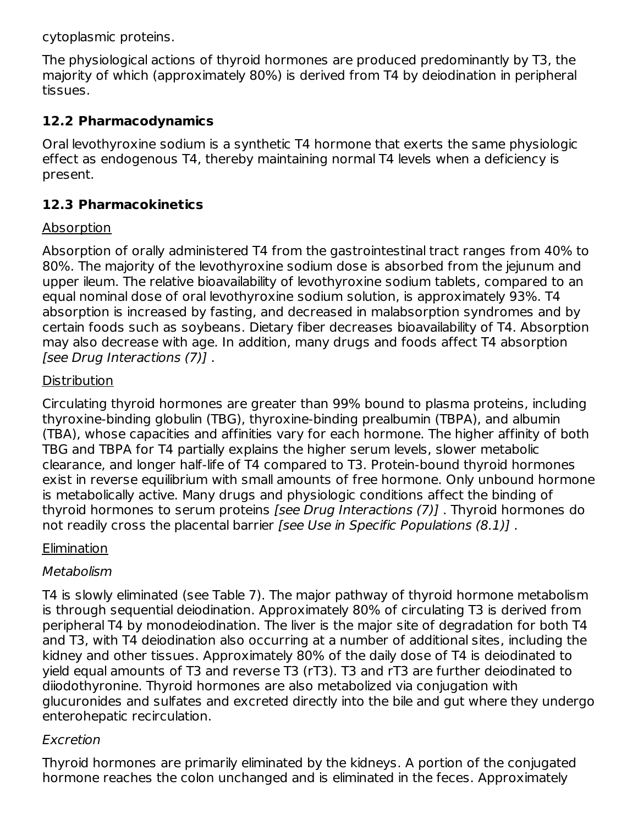cytoplasmic proteins.

The physiological actions of thyroid hormones are produced predominantly by T3, the majority of which (approximately 80%) is derived from T4 by deiodination in peripheral tissues.

# **12.2 Pharmacodynamics**

Oral levothyroxine sodium is a synthetic T4 hormone that exerts the same physiologic effect as endogenous T4, thereby maintaining normal T4 levels when a deficiency is present.

# **12.3 Pharmacokinetics**

# **Absorption**

Absorption of orally administered T4 from the gastrointestinal tract ranges from 40% to 80%. The majority of the levothyroxine sodium dose is absorbed from the jejunum and upper ileum. The relative bioavailability of levothyroxine sodium tablets, compared to an equal nominal dose of oral levothyroxine sodium solution, is approximately 93%. T4 absorption is increased by fasting, and decreased in malabsorption syndromes and by certain foods such as soybeans. Dietary fiber decreases bioavailability of T4. Absorption may also decrease with age. In addition, many drugs and foods affect T4 absorption [see Drug Interactions (7)] .

# **Distribution**

Circulating thyroid hormones are greater than 99% bound to plasma proteins, including thyroxine-binding globulin (TBG), thyroxine-binding prealbumin (TBPA), and albumin (TBA), whose capacities and affinities vary for each hormone. The higher affinity of both TBG and TBPA for T4 partially explains the higher serum levels, slower metabolic clearance, and longer half-life of T4 compared to T3. Protein-bound thyroid hormones exist in reverse equilibrium with small amounts of free hormone. Only unbound hormone is metabolically active. Many drugs and physiologic conditions affect the binding of thyroid hormones to serum proteins [see Drug Interactions (7)] . Thyroid hormones do not readily cross the placental barrier [see Use in Specific Populations (8.1)].

# **Elimination**

# Metabolism

T4 is slowly eliminated (see Table 7). The major pathway of thyroid hormone metabolism is through sequential deiodination. Approximately 80% of circulating T3 is derived from peripheral T4 by monodeiodination. The liver is the major site of degradation for both T4 and T3, with T4 deiodination also occurring at a number of additional sites, including the kidney and other tissues. Approximately 80% of the daily dose of T4 is deiodinated to yield equal amounts of T3 and reverse T3 (rT3). T3 and rT3 are further deiodinated to diiodothyronine. Thyroid hormones are also metabolized via conjugation with glucuronides and sulfates and excreted directly into the bile and gut where they undergo enterohepatic recirculation.

# Excretion

Thyroid hormones are primarily eliminated by the kidneys. A portion of the conjugated hormone reaches the colon unchanged and is eliminated in the feces. Approximately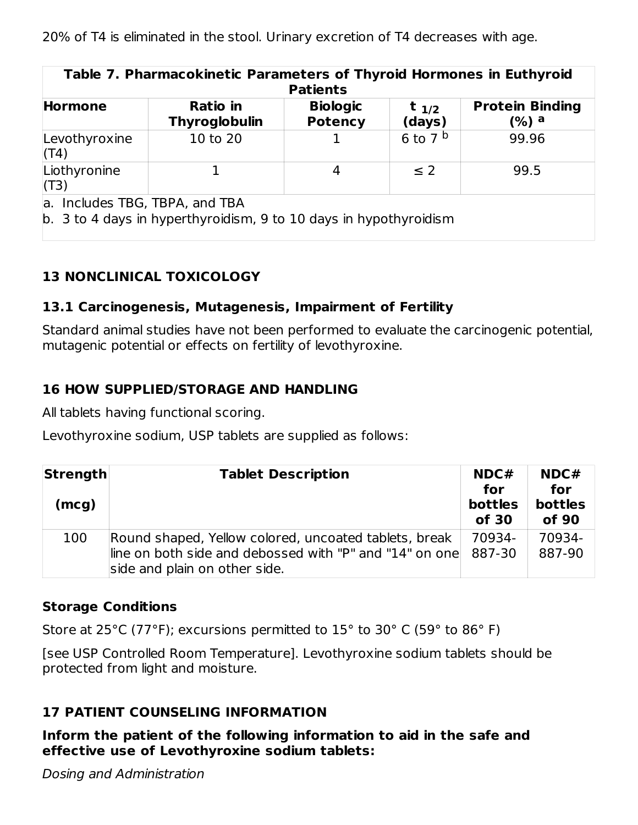| Table 7. Pharmacokinetic Parameters of Thyroid Hormones in Euthyroid<br><b>Patients</b>             |                                  |                                   |                     |                                 |  |
|-----------------------------------------------------------------------------------------------------|----------------------------------|-----------------------------------|---------------------|---------------------------------|--|
| <b>Hormone</b>                                                                                      | Ratio in<br><b>Thyroglobulin</b> | <b>Biologic</b><br><b>Potency</b> | $t_{1/2}$<br>(days) | <b>Protein Binding</b><br>(%) a |  |
| Levothyroxine<br>(T4)                                                                               | 10 to 20                         |                                   | 6 to 7 $^{\rm b}$   | 99.96                           |  |
| Liothyronine<br>(T3)                                                                                |                                  | 4                                 | $\leq$ 2            | 99.5                            |  |
| a. Includes TBG, TBPA, and TBA<br>b. 3 to 4 days in hyperthyroidism, 9 to 10 days in hypothyroidism |                                  |                                   |                     |                                 |  |

# **13 NONCLINICAL TOXICOLOGY**

### **13.1 Carcinogenesis, Mutagenesis, Impairment of Fertility**

Standard animal studies have not been performed to evaluate the carcinogenic potential, mutagenic potential or effects on fertility of levothyroxine.

### **16 HOW SUPPLIED/STORAGE AND HANDLING**

All tablets having functional scoring.

Levothyroxine sodium, USP tablets are supplied as follows:

| Strength<br>(mcg) | <b>Tablet Description</b>                                                                                                                                | NDC#<br>for<br>bottles<br>of 30 | NDC#<br>for<br><b>bottles</b><br>of 90 |
|-------------------|----------------------------------------------------------------------------------------------------------------------------------------------------------|---------------------------------|----------------------------------------|
| 100               | Round shaped, Yellow colored, uncoated tablets, break<br>line on both side and debossed with "P" and "14" on one 887-30<br>side and plain on other side. | 70934-                          | 70934-<br>887-90                       |

### **Storage Conditions**

Store at 25°C (77°F); excursions permitted to 15° to 30° C (59° to 86° F)

[see USP Controlled Room Temperature]. Levothyroxine sodium tablets should be protected from light and moisture.

# **17 PATIENT COUNSELING INFORMATION**

**Inform the patient of the following information to aid in the safe and effective use of Levothyroxine sodium tablets:**

Dosing and Administration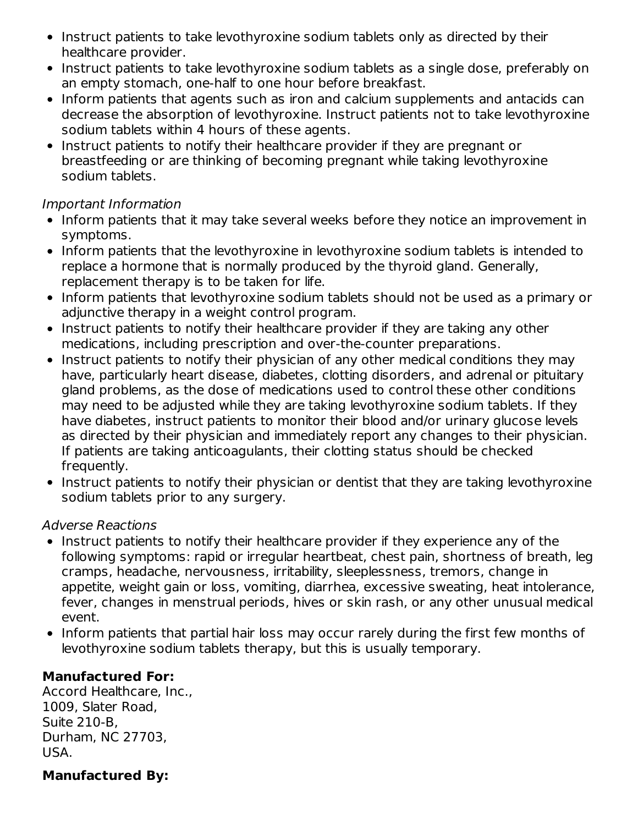- Instruct patients to take levothyroxine sodium tablets only as directed by their healthcare provider.
- Instruct patients to take levothyroxine sodium tablets as a single dose, preferably on an empty stomach, one-half to one hour before breakfast.
- Inform patients that agents such as iron and calcium supplements and antacids can decrease the absorption of levothyroxine. Instruct patients not to take levothyroxine sodium tablets within 4 hours of these agents.
- Instruct patients to notify their healthcare provider if they are pregnant or breastfeeding or are thinking of becoming pregnant while taking levothyroxine sodium tablets.

### Important Information

- Inform patients that it may take several weeks before they notice an improvement in symptoms.
- Inform patients that the levothyroxine in levothyroxine sodium tablets is intended to replace a hormone that is normally produced by the thyroid gland. Generally, replacement therapy is to be taken for life.
- Inform patients that levothyroxine sodium tablets should not be used as a primary or adjunctive therapy in a weight control program.
- Instruct patients to notify their healthcare provider if they are taking any other medications, including prescription and over-the-counter preparations.
- Instruct patients to notify their physician of any other medical conditions they may have, particularly heart disease, diabetes, clotting disorders, and adrenal or pituitary gland problems, as the dose of medications used to control these other conditions may need to be adjusted while they are taking levothyroxine sodium tablets. If they have diabetes, instruct patients to monitor their blood and/or urinary glucose levels as directed by their physician and immediately report any changes to their physician. If patients are taking anticoagulants, their clotting status should be checked frequently.
- Instruct patients to notify their physician or dentist that they are taking levothyroxine sodium tablets prior to any surgery.

### Adverse Reactions

- Instruct patients to notify their healthcare provider if they experience any of the following symptoms: rapid or irregular heartbeat, chest pain, shortness of breath, leg cramps, headache, nervousness, irritability, sleeplessness, tremors, change in appetite, weight gain or loss, vomiting, diarrhea, excessive sweating, heat intolerance, fever, changes in menstrual periods, hives or skin rash, or any other unusual medical event.
- Inform patients that partial hair loss may occur rarely during the first few months of levothyroxine sodium tablets therapy, but this is usually temporary.

### **Manufactured For:**

Accord Healthcare, Inc., 1009, Slater Road, Suite 210-B, Durham, NC 27703, USA.

### **Manufactured By:**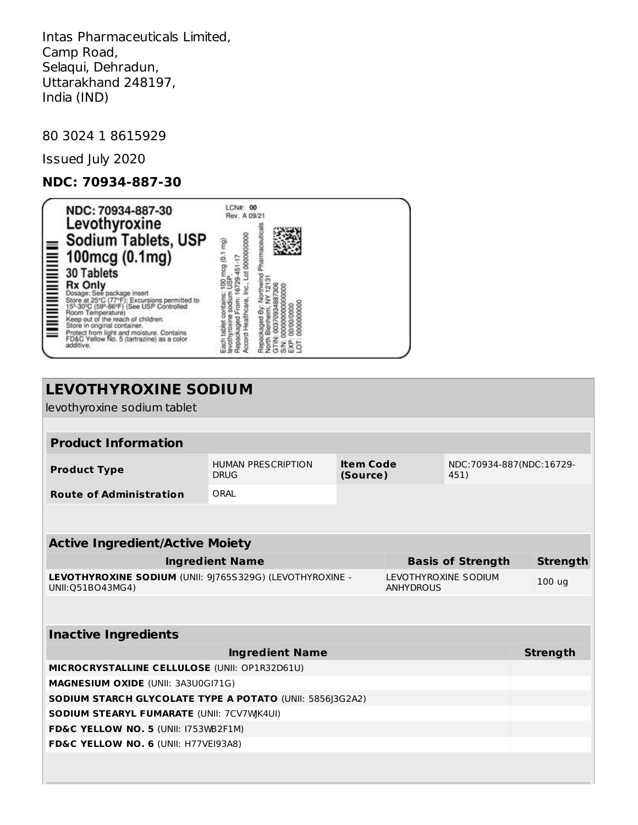Intas Pharmaceuticals Limited, Camp Road, Selaqui, Dehradun, Uttarakhand 248197, India (IND)

80 3024 1 8615929

Issued July 2020

### **NDC: 70934-887-30**

| NDC: 70934-887-30<br>Levothyroxine<br>Sodium Tablets, USP                                                                                                                                                                                                                                                                                                                  | LCN#: 00<br>Rev. A 09/21<br>harmaceuti<br>0000000000              |  |
|----------------------------------------------------------------------------------------------------------------------------------------------------------------------------------------------------------------------------------------------------------------------------------------------------------------------------------------------------------------------------|-------------------------------------------------------------------|--|
| <b>Socium Tablets, USF</b><br><b>Example 100 mcg (0.1 mg)</b><br><b>Example 100 mcg (0.1 mg)</b><br><b>Example 100 mcg (0.1 mg)</b><br>Dosage: See package insert<br>Society (59-86°F) (See USP Controlled to<br><b>Example 25</b> (59-86°F) (See USP Controlled to<br>Protect from light and moisture. Contains<br>FD&C Yellow No. 5 (tartrazine) as a color<br>additive. | contains<br>sodiun<br>From:<br>Each tablet<br>evothyroxi<br>Repac |  |

| <b>LEVOTHYROXINE SODIUM</b>                                                   |                                                                                  |  |                                          |                          |                 |  |  |
|-------------------------------------------------------------------------------|----------------------------------------------------------------------------------|--|------------------------------------------|--------------------------|-----------------|--|--|
| levothyroxine sodium tablet                                                   |                                                                                  |  |                                          |                          |                 |  |  |
|                                                                               |                                                                                  |  |                                          |                          |                 |  |  |
| <b>Product Information</b>                                                    |                                                                                  |  |                                          |                          |                 |  |  |
| <b>Product Type</b>                                                           | <b>Item Code</b><br><b>HUMAN PRESCRIPTION</b><br><b>DRUG</b><br>(Source)<br>451) |  |                                          | NDC:70934-887(NDC:16729- |                 |  |  |
| <b>Route of Administration</b>                                                | ORAI                                                                             |  |                                          |                          |                 |  |  |
|                                                                               |                                                                                  |  |                                          |                          |                 |  |  |
| <b>Active Ingredient/Active Moiety</b>                                        |                                                                                  |  |                                          |                          |                 |  |  |
|                                                                               | <b>Ingredient Name</b>                                                           |  |                                          | <b>Basis of Strength</b> | <b>Strength</b> |  |  |
| LEVOTHYROXINE SODIUM (UNII: 9J765S329G) (LEVOTHYROXINE -<br>UNII: 051B043MG4) |                                                                                  |  | LEVOTHYROXINE SODIUM<br><b>ANHYDROUS</b> | 100 <sub>ug</sub>        |                 |  |  |
|                                                                               |                                                                                  |  |                                          |                          |                 |  |  |
| <b>Inactive Ingredients</b>                                                   |                                                                                  |  |                                          |                          |                 |  |  |
|                                                                               | <b>Ingredient Name</b>                                                           |  |                                          |                          | <b>Strength</b> |  |  |
| MICROCRYSTALLINE CELLULOSE (UNII: OP1R32D61U)                                 |                                                                                  |  |                                          |                          |                 |  |  |
| <b>MAGNESIUM OXIDE (UNII: 3A3U0GI71G)</b>                                     |                                                                                  |  |                                          |                          |                 |  |  |
| <b>SODIUM STARCH GLYCOLATE TYPE A POTATO (UNII: 5856 3G2A2)</b>               |                                                                                  |  |                                          |                          |                 |  |  |
| <b>SODIUM STEARYL FUMARATE (UNII: 7CV7WK4UI)</b>                              |                                                                                  |  |                                          |                          |                 |  |  |
| FD&C YELLOW NO. 5 (UNII: I753WB2F1M)                                          |                                                                                  |  |                                          |                          |                 |  |  |
| FD&C YELLOW NO. 6 (UNII: H77VEI93A8)                                          |                                                                                  |  |                                          |                          |                 |  |  |
|                                                                               |                                                                                  |  |                                          |                          |                 |  |  |
|                                                                               |                                                                                  |  |                                          |                          |                 |  |  |